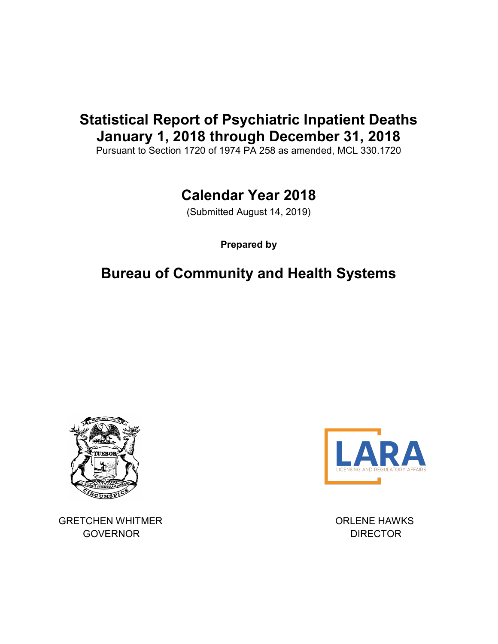## Statistical Report of Psychiatric Inpatient Deaths January 1, 2018 through December 31, 2018

Pursuant to Section 1720 of 1974 PA 258 as amended, MCL 330.1720

# Calendar Year 2018

(Submitted August 14, 2019)

Prepared by

## Bureau of Community and Health Systems



GRETCHEN WHITMER **ORLENE HAWKS** GOVERNOR **DIRECTOR**